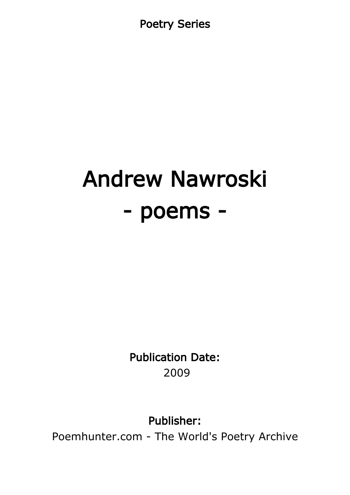Poetry Series

# Andrew Nawroski - poems -

Publication Date: 2009

Publisher:

Poemhunter.com - The World's Poetry Archive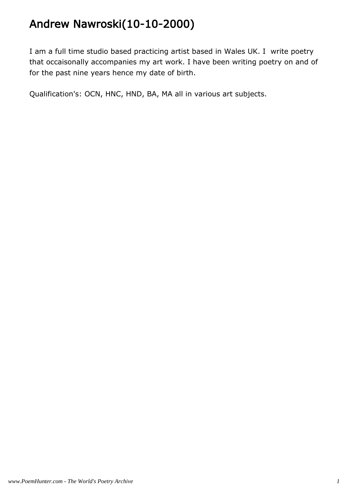# Andrew Nawroski(10-10-2000)

I am a full time studio based practicing artist based in Wales UK. I write poetry that occaisonally accompanies my art work. I have been writing poetry on and of for the past nine years hence my date of birth.

Qualification's: OCN, HNC, HND, BA, MA all in various art subjects.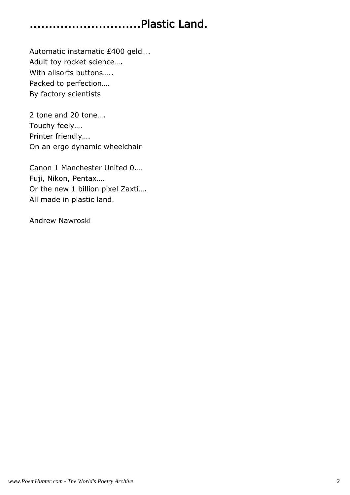# .............................Plastic Land.

Automatic instamatic £400 geld…. Adult toy rocket science…. With allsorts buttons….. Packed to perfection…. By factory scientists

2 tone and 20 tone…. Touchy feely…. Printer friendly…. On an ergo dynamic wheelchair

Canon 1 Manchester United 0.… Fuji, Nikon, Pentax…. Or the new 1 billion pixel Zaxti…. All made in plastic land.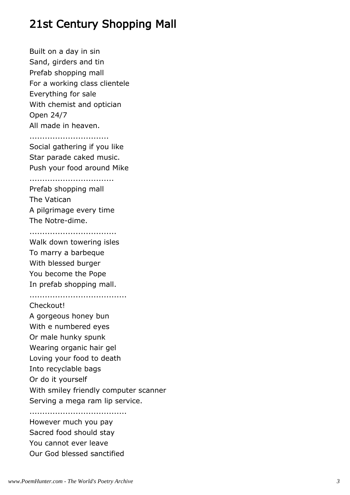# 21st Century Shopping Mall

Built on a day in sin Sand, girders and tin Prefab shopping mall For a working class clientele Everything for sale With chemist and optician Open 24/7 All made in heaven.

...............................

Social gathering if you like Star parade caked music. Push your food around Mike

.................................

Prefab shopping mall The Vatican A pilgrimage every time The Notre-dime.

..................................

Walk down towering isles To marry a barbeque With blessed burger You become the Pope In prefab shopping mall.

......................................

Checkout!

A gorgeous honey bun With e numbered eyes Or male hunky spunk Wearing organic hair gel Loving your food to death Into recyclable bags Or do it yourself With smiley friendly computer scanner Serving a mega ram lip service.

...................................... However much you pay Sacred food should stay You cannot ever leave Our God blessed sanctified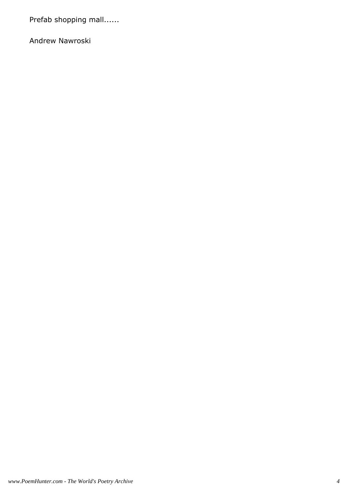Prefab shopping mall......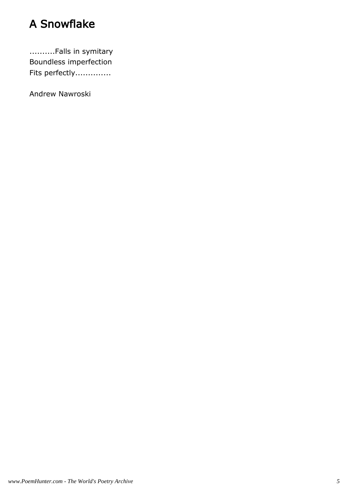# A Snowflake

..........Falls in symitary Boundless imperfection Fits perfectly..............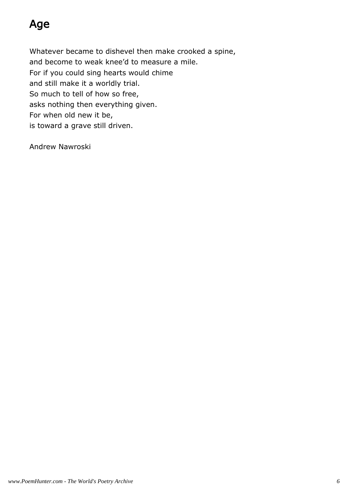# Age

Whatever became to dishevel then make crooked a spine, and become to weak knee'd to measure a mile. For if you could sing hearts would chime and still make it a worldly trial. So much to tell of how so free, asks nothing then everything given. For when old new it be, is toward a grave still driven.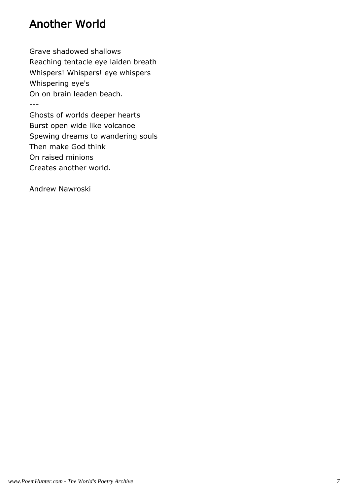# Another World

Grave shadowed shallows Reaching tentacle eye laiden breath Whispers! Whispers! eye whispers Whispering eye's On on brain leaden beach. ---

Ghosts of worlds deeper hearts Burst open wide like volcanoe Spewing dreams to wandering souls Then make God think On raised minions Creates another world.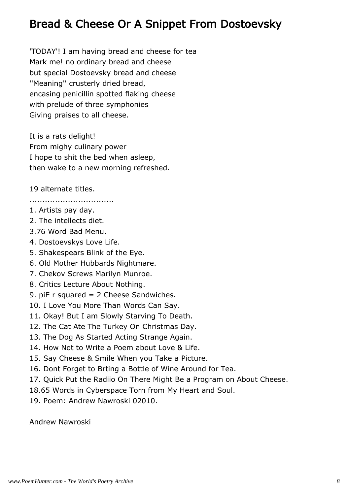## Bread & Cheese Or A Snippet From Dostoevsky

'TODAY'! I am having bread and cheese for tea Mark me! no ordinary bread and cheese but special Dostoevsky bread and cheese ''Meaning'' crusterly dried bread, encasing penicillin spotted flaking cheese with prelude of three symphonies Giving praises to all cheese.

It is a rats delight! From mighy culinary power I hope to shit the bed when asleep, then wake to a new morning refreshed.

19 alternate titles.

.................................

- 1. Artists pay day.
- 2. The intellects diet.
- 3.76 Word Bad Menu.
- 4. Dostoevskys Love Life.
- 5. Shakespears Blink of the Eye.
- 6. Old Mother Hubbards Nightmare.
- 7. Chekov Screws Marilyn Munroe.
- 8. Critics Lecture About Nothing.
- 9. piE r squared = 2 Cheese Sandwiches.
- 10. I Love You More Than Words Can Say.
- 11. Okay! But I am Slowly Starving To Death.
- 12. The Cat Ate The Turkey On Christmas Day.
- 13. The Dog As Started Acting Strange Again.
- 14. How Not to Write a Poem about Love & Life.
- 15. Say Cheese & Smile When you Take a Picture.
- 16. Dont Forget to Brting a Bottle of Wine Around for Tea.
- 17. Quick Put the Radiio On There Might Be a Program on About Cheese.
- 18.65 Words in Cyberspace Torn from My Heart and Soul.
- 19. Poem: Andrew Nawroski 02010.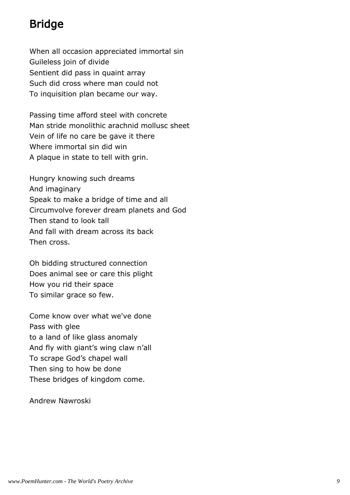# Bridge

When all occasion appreciated immortal sin Guileless join of divide Sentient did pass in quaint array Such did cross where man could not To inquisition plan became our way.

Passing time afford steel with concrete Man stride monolithic arachnid mollusc sheet Vein of life no care be gave it there Where immortal sin did win A plaque in state to tell with grin.

Hungry knowing such dreams And imaginary Speak to make a bridge of time and all Circumvolve forever dream planets and God Then stand to look tall And fall with dream across its back Then cross.

Oh bidding structured connection Does animal see or care this plight How you rid their space To similar grace so few.

Come know over what we've done Pass with glee to a land of like glass anomaly And fly with giant's wing claw n'all To scrape God's chapel wall Then sing to how be done These bridges of kingdom come.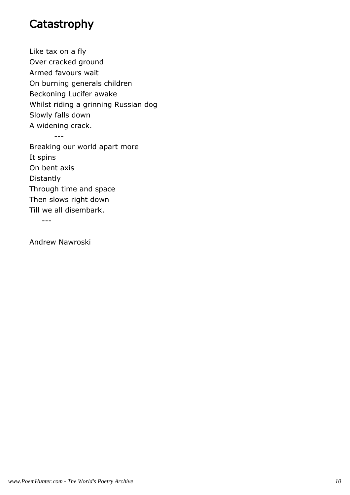### **Catastrophy**

Like tax on a fly Over cracked ground Armed favours wait On burning generals children Beckoning Lucifer awake Whilst riding a grinning Russian dog Slowly falls down A widening crack. ---

Breaking our world apart more It spins On bent axis Distantly Through time and space Then slows right down Till we all disembark.

---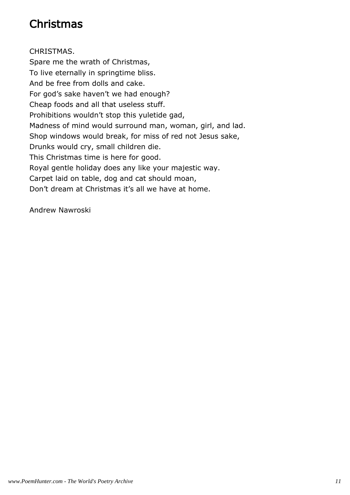# Christmas

CHRISTMAS. Spare me the wrath of Christmas, To live eternally in springtime bliss. And be free from dolls and cake. For god's sake haven't we had enough? Cheap foods and all that useless stuff. Prohibitions wouldn't stop this yuletide gad, Madness of mind would surround man, woman, girl, and lad. Shop windows would break, for miss of red not Jesus sake, Drunks would cry, small children die. This Christmas time is here for good. Royal gentle holiday does any like your majestic way. Carpet laid on table, dog and cat should moan, Don't dream at Christmas it's all we have at home.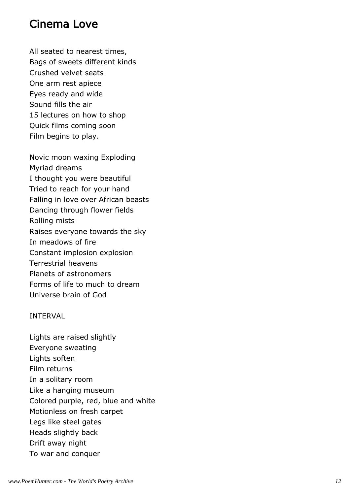#### Cinema Love

All seated to nearest times, Bags of sweets different kinds Crushed velvet seats One arm rest apiece Eyes ready and wide Sound fills the air 15 lectures on how to shop Quick films coming soon Film begins to play.

Novic moon waxing Exploding Myriad dreams I thought you were beautiful Tried to reach for your hand Falling in love over African beasts Dancing through flower fields Rolling mists Raises everyone towards the sky In meadows of fire Constant implosion explosion Terrestrial heavens Planets of astronomers Forms of life to much to dream Universe brain of God

#### INTERVAL

Lights are raised slightly Everyone sweating Lights soften Film returns In a solitary room Like a hanging museum Colored purple, red, blue and white Motionless on fresh carpet Legs like steel gates Heads slightly back Drift away night To war and conquer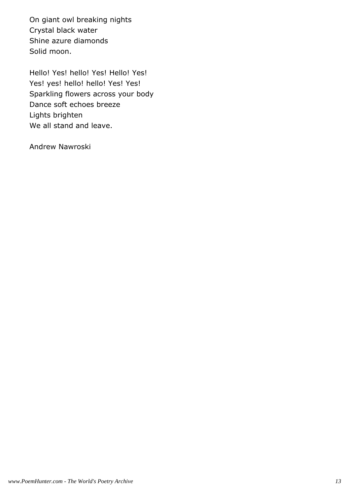On giant owl breaking nights Crystal black water Shine azure diamonds Solid moon.

Hello! Yes! hello! Yes! Hello! Yes! Yes! yes! hello! hello! Yes! Yes! Sparkling flowers across your body Dance soft echoes breeze Lights brighten We all stand and leave.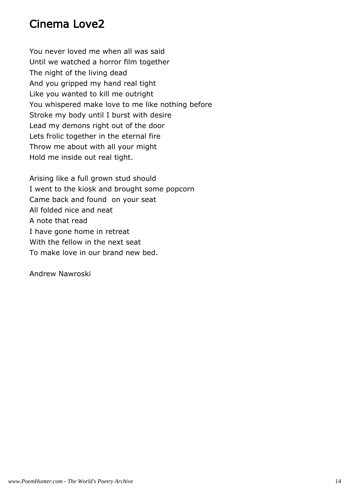# Cinema Love2

You never loved me when all was said Until we watched a horror film together The night of the living dead And you gripped my hand real tight Like you wanted to kill me outright You whispered make love to me like nothing before Stroke my body until I burst with desire Lead my demons right out of the door Lets frolic together in the eternal fire Throw me about with all your might Hold me inside out real tight.

Arising like a full grown stud should I went to the kiosk and brought some popcorn Came back and found on your seat All folded nice and neat A note that read I have gone home in retreat With the fellow in the next seat To make love in our brand new bed.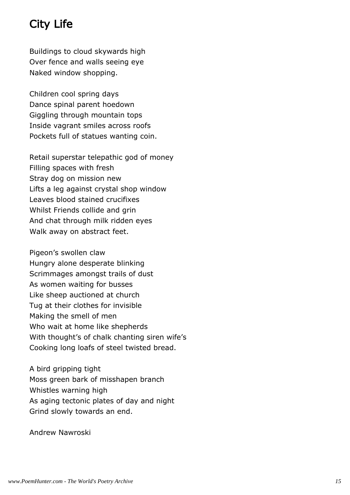# City Life

Buildings to cloud skywards high Over fence and walls seeing eye Naked window shopping.

Children cool spring days Dance spinal parent hoedown Giggling through mountain tops Inside vagrant smiles across roofs Pockets full of statues wanting coin.

Retail superstar telepathic god of money Filling spaces with fresh Stray dog on mission new Lifts a leg against crystal shop window Leaves blood stained crucifixes Whilst Friends collide and grin And chat through milk ridden eyes Walk away on abstract feet.

Pigeon's swollen claw Hungry alone desperate blinking Scrimmages amongst trails of dust As women waiting for busses Like sheep auctioned at church Tug at their clothes for invisible Making the smell of men Who wait at home like shepherds With thought's of chalk chanting siren wife's Cooking long loafs of steel twisted bread.

A bird gripping tight Moss green bark of misshapen branch Whistles warning high As aging tectonic plates of day and night Grind slowly towards an end.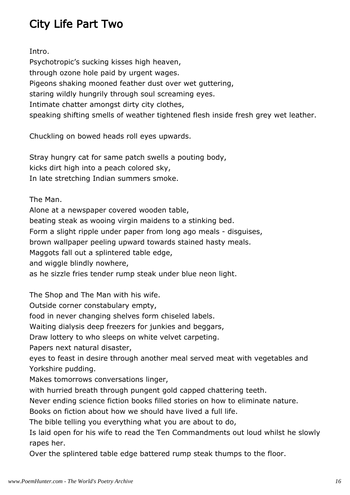# City Life Part Two

Intro.

Psychotropic's sucking kisses high heaven, through ozone hole paid by urgent wages. Pigeons shaking mooned feather dust over wet guttering, staring wildly hungrily through soul screaming eyes. Intimate chatter amongst dirty city clothes, speaking shifting smells of weather tightened flesh inside fresh grey wet leather.

Chuckling on bowed heads roll eyes upwards.

Stray hungry cat for same patch swells a pouting body, kicks dirt high into a peach colored sky, In late stretching Indian summers smoke.

The Man.

Alone at a newspaper covered wooden table,

beating steak as wooing virgin maidens to a stinking bed.

Form a slight ripple under paper from long ago meals - disguises,

brown wallpaper peeling upward towards stained hasty meals.

Maggots fall out a splintered table edge,

and wiggle blindly nowhere,

as he sizzle fries tender rump steak under blue neon light.

The Shop and The Man with his wife.

Outside corner constabulary empty,

food in never changing shelves form chiseled labels.

Waiting dialysis deep freezers for junkies and beggars,

Draw lottery to who sleeps on white velvet carpeting.

Papers next natural disaster,

eyes to feast in desire through another meal served meat with vegetables and Yorkshire pudding.

Makes tomorrows conversations linger,

with hurried breath through pungent gold capped chattering teeth.

Never ending science fiction books filled stories on how to eliminate nature.

Books on fiction about how we should have lived a full life.

The bible telling you everything what you are about to do,

Is laid open for his wife to read the Ten Commandments out loud whilst he slowly rapes her.

Over the splintered table edge battered rump steak thumps to the floor.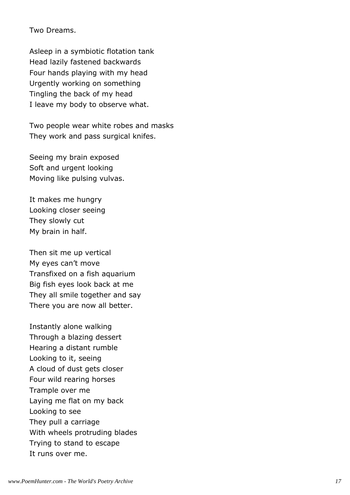Two Dreams.

Asleep in a symbiotic flotation tank Head lazily fastened backwards Four hands playing with my head Urgently working on something Tingling the back of my head I leave my body to observe what.

Two people wear white robes and masks They work and pass surgical knifes.

Seeing my brain exposed Soft and urgent looking Moving like pulsing vulvas.

It makes me hungry Looking closer seeing They slowly cut My brain in half.

Then sit me up vertical My eyes can't move Transfixed on a fish aquarium Big fish eyes look back at me They all smile together and say There you are now all better.

Instantly alone walking Through a blazing dessert Hearing a distant rumble Looking to it, seeing A cloud of dust gets closer Four wild rearing horses Trample over me Laying me flat on my back Looking to see They pull a carriage With wheels protruding blades Trying to stand to escape It runs over me.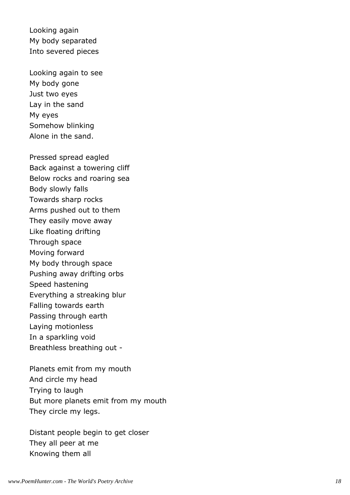Looking again My body separated Into severed pieces

Looking again to see My body gone Just two eyes Lay in the sand My eyes Somehow blinking Alone in the sand.

Pressed spread eagled Back against a towering cliff Below rocks and roaring sea Body slowly falls Towards sharp rocks Arms pushed out to them They easily move away Like floating drifting Through space Moving forward My body through space Pushing away drifting orbs Speed hastening Everything a streaking blur Falling towards earth Passing through earth Laying motionless In a sparkling void Breathless breathing out -

Planets emit from my mouth And circle my head Trying to laugh But more planets emit from my mouth They circle my legs.

Distant people begin to get closer They all peer at me Knowing them all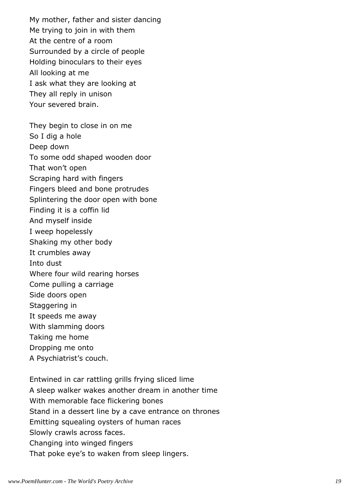My mother, father and sister dancing Me trying to join in with them At the centre of a room Surrounded by a circle of people Holding binoculars to their eyes All looking at me I ask what they are looking at They all reply in unison Your severed brain.

They begin to close in on me So I dig a hole Deep down To some odd shaped wooden door That won't open Scraping hard with fingers Fingers bleed and bone protrudes Splintering the door open with bone Finding it is a coffin lid And myself inside I weep hopelessly Shaking my other body It crumbles away Into dust Where four wild rearing horses Come pulling a carriage Side doors open Staggering in It speeds me away With slamming doors Taking me home Dropping me onto A Psychiatrist's couch.

Entwined in car rattling grills frying sliced lime A sleep walker wakes another dream in another time With memorable face flickering bones Stand in a dessert line by a cave entrance on thrones Emitting squealing oysters of human races Slowly crawls across faces. Changing into winged fingers That poke eye's to waken from sleep lingers.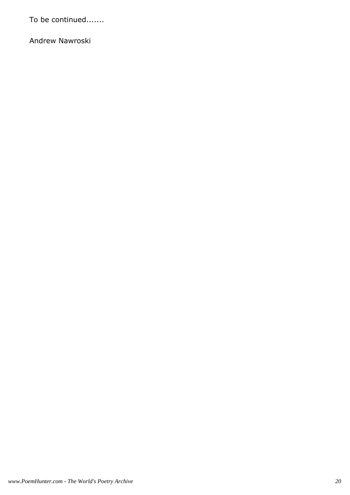To be continued.......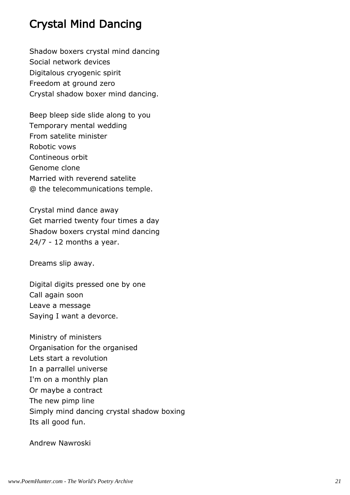# Crystal Mind Dancing

Shadow boxers crystal mind dancing Social network devices Digitalous cryogenic spirit Freedom at ground zero Crystal shadow boxer mind dancing.

Beep bleep side slide along to you Temporary mental wedding From satelite minister Robotic vows Contineous orbit Genome clone Married with reverend satelite @ the telecommunications temple.

Crystal mind dance away Get married twenty four times a day Shadow boxers crystal mind dancing 24/7 - 12 months a year.

Dreams slip away.

Digital digits pressed one by one Call again soon Leave a message Saying I want a devorce.

Ministry of ministers Organisation for the organised Lets start a revolution In a parrallel universe I'm on a monthly plan Or maybe a contract The new pimp line Simply mind dancing crystal shadow boxing Its all good fun.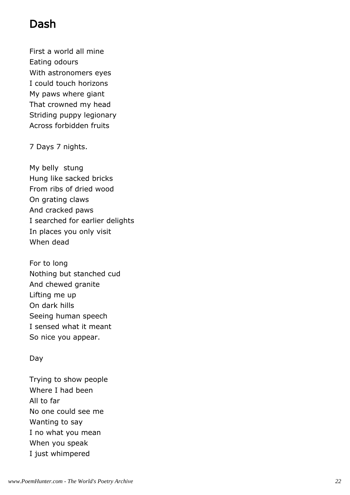## Dash

First a world all mine Eating odours With astronomers eyes I could touch horizons My paws where giant That crowned my head Striding puppy legionary Across forbidden fruits

7 Days 7 nights.

My belly stung Hung like sacked bricks From ribs of dried wood On grating claws And cracked paws I searched for earlier delights In places you only visit When dead

For to long Nothing but stanched cud And chewed granite Lifting me up On dark hills Seeing human speech I sensed what it meant So nice you appear.

#### Day

Trying to show people Where I had been All to far No one could see me Wanting to say I no what you mean When you speak I just whimpered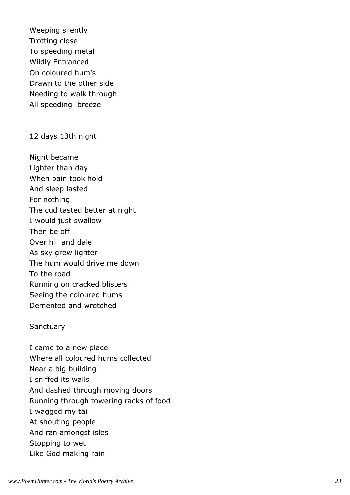Weeping silently Trotting close To speeding metal Wildly Entranced On coloured hum's Drawn to the other side Needing to walk through All speeding breeze

#### 12 days 13th night

Night became Lighter than day When pain took hold And sleep lasted For nothing The cud tasted better at night I would just swallow Then be off Over hill and dale As sky grew lighter The hum would drive me down To the road Running on cracked blisters Seeing the coloured hums Demented and wretched

#### **Sanctuary**

I came to a new place Where all coloured hums collected Near a big building I sniffed its walls And dashed through moving doors Running through towering racks of food I wagged my tail At shouting people And ran amongst isles Stopping to wet Like God making rain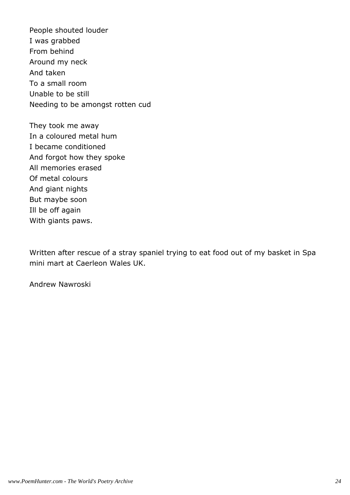People shouted louder I was grabbed From behind Around my neck And taken To a small room Unable to be still Needing to be amongst rotten cud

They took me away In a coloured metal hum I became conditioned And forgot how they spoke All memories erased Of metal colours And giant nights But maybe soon Ill be off again With giants paws.

Written after rescue of a stray spaniel trying to eat food out of my basket in Spa mini mart at Caerleon Wales UK.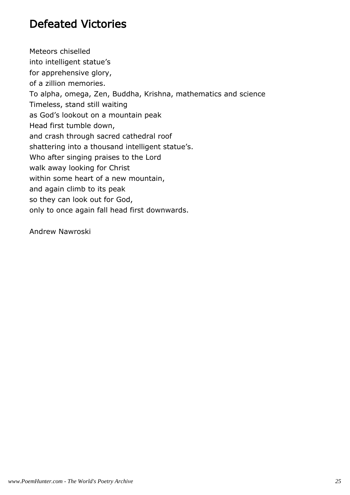# Defeated Victories

Meteors chiselled into intelligent statue's for apprehensive glory, of a zillion memories. To alpha, omega, Zen, Buddha, Krishna, mathematics and science Timeless, stand still waiting as God's lookout on a mountain peak Head first tumble down, and crash through sacred cathedral roof shattering into a thousand intelligent statue's. Who after singing praises to the Lord walk away looking for Christ within some heart of a new mountain, and again climb to its peak so they can look out for God, only to once again fall head first downwards.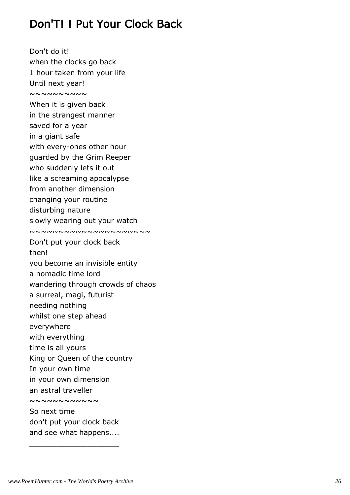# Don'T! ! Put Your Clock Back

Don't do it! when the clocks go back 1 hour taken from your life Until next year!  $~\sim~\sim~\sim~\sim~\sim~\sim~\sim~\sim$ When it is given back in the strangest manner saved for a year in a giant safe with every-ones other hour guarded by the Grim Reeper who suddenly lets it out like a screaming apocalypse from another dimension changing your routine disturbing nature slowly wearing out your watch ~~~~~~~~~~~~~~~~~~~~~ Don't put your clock back then! you become an invisible entity a nomadic time lord wandering through crowds of chaos a surreal, magi, futurist needing nothing whilst one step ahead everywhere with everything time is all yours King or Queen of the country In your own time in your own dimension an astral traveller ~~~~~~~~~~~ So next time don't put your clock back and see what happens....

\_\_\_\_\_\_\_\_\_\_\_\_\_\_\_\_\_\_\_\_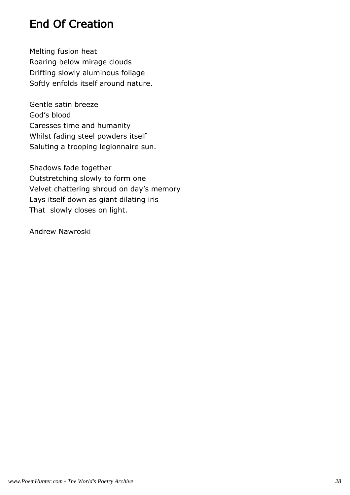# End Of Creation

Melting fusion heat Roaring below mirage clouds Drifting slowly aluminous foliage Softly enfolds itself around nature.

Gentle satin breeze God's blood Caresses time and humanity Whilst fading steel powders itself Saluting a trooping legionnaire sun.

Shadows fade together Outstretching slowly to form one Velvet chattering shroud on day's memory Lays itself down as giant dilating iris That slowly closes on light.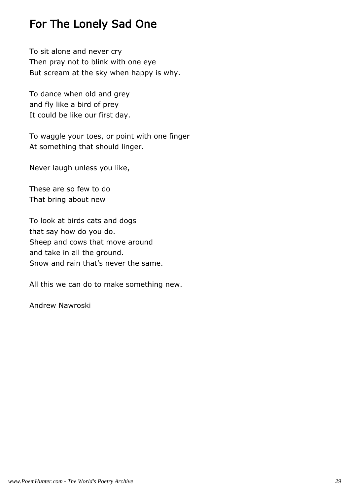# For The Lonely Sad One

To sit alone and never cry Then pray not to blink with one eye But scream at the sky when happy is why.

To dance when old and grey and fly like a bird of prey It could be like our first day.

To waggle your toes, or point with one finger At something that should linger.

Never laugh unless you like,

These are so few to do That bring about new

To look at birds cats and dogs that say how do you do. Sheep and cows that move around and take in all the ground. Snow and rain that's never the same.

All this we can do to make something new.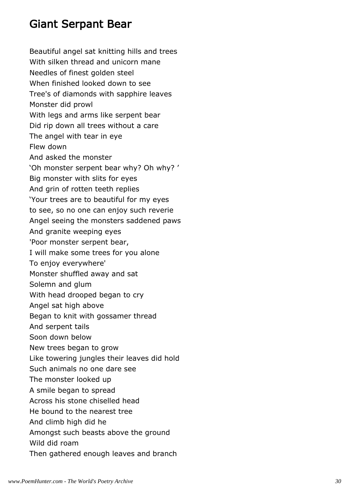### Giant Serpant Bear

Beautiful angel sat knitting hills and trees With silken thread and unicorn mane Needles of finest golden steel When finished looked down to see Tree's of diamonds with sapphire leaves Monster did prowl With legs and arms like serpent bear Did rip down all trees without a care The angel with tear in eye Flew down And asked the monster 'Oh monster serpent bear why? Oh why? ' Big monster with slits for eyes And grin of rotten teeth replies 'Your trees are to beautiful for my eyes to see, so no one can enjoy such reverie Angel seeing the monsters saddened paws And granite weeping eyes 'Poor monster serpent bear, I will make some trees for you alone To enjoy everywhere' Monster shuffled away and sat Solemn and glum With head drooped began to cry Angel sat high above Began to knit with gossamer thread And serpent tails Soon down below New trees began to grow Like towering jungles their leaves did hold Such animals no one dare see The monster looked up A smile began to spread Across his stone chiselled head He bound to the nearest tree And climb high did he Amongst such beasts above the ground Wild did roam Then gathered enough leaves and branch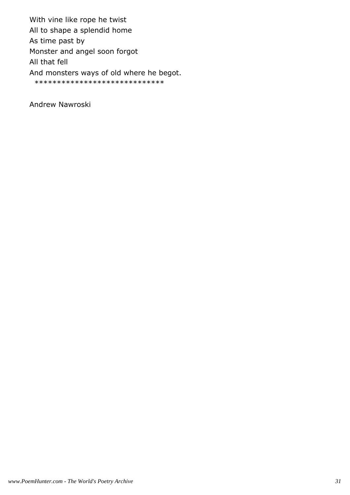With vine like rope he twist All to shape a splendid home As time past by Monster and angel soon forgot All that fell And monsters ways of old where he begot. \*\*\*\*\*\*\*\*\*\*\*\*\*\*\*\*\*\*\*\*\*\*\*\*\*\*\*\*\*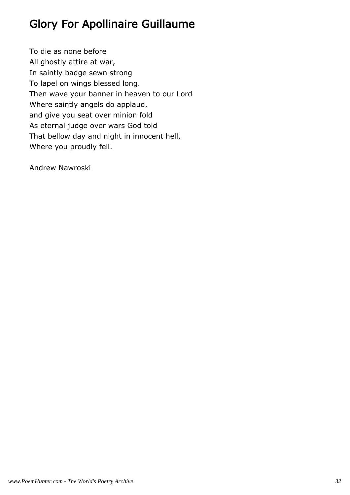# Glory For Apollinaire Guillaume

To die as none before All ghostly attire at war, In saintly badge sewn strong To lapel on wings blessed long. Then wave your banner in heaven to our Lord Where saintly angels do applaud, and give you seat over minion fold As eternal judge over wars God told That bellow day and night in innocent hell, Where you proudly fell.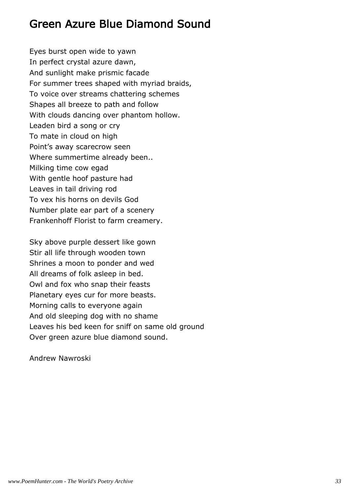## Green Azure Blue Diamond Sound

Eyes burst open wide to yawn In perfect crystal azure dawn, And sunlight make prismic facade For summer trees shaped with myriad braids, To voice over streams chattering schemes Shapes all breeze to path and follow With clouds dancing over phantom hollow. Leaden bird a song or cry To mate in cloud on high Point's away scarecrow seen Where summertime already been.. Milking time cow egad With gentle hoof pasture had Leaves in tail driving rod To vex his horns on devils God Number plate ear part of a scenery Frankenhoff Florist to farm creamery.

Sky above purple dessert like gown Stir all life through wooden town Shrines a moon to ponder and wed All dreams of folk asleep in bed. Owl and fox who snap their feasts Planetary eyes cur for more beasts. Morning calls to everyone again And old sleeping dog with no shame Leaves his bed keen for sniff on same old ground Over green azure blue diamond sound.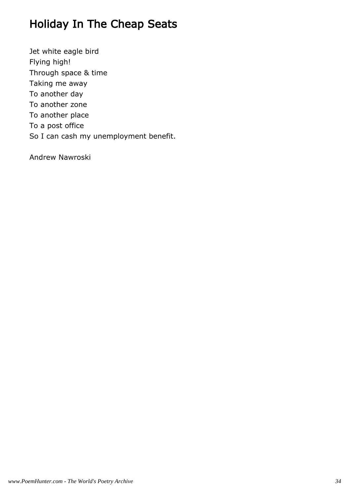# Holiday In The Cheap Seats

Jet white eagle bird Flying high! Through space & time Taking me away To another day To another zone To another place To a post office So I can cash my unemployment benefit.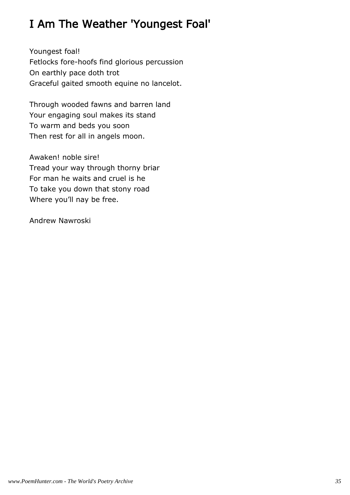# I Am The Weather 'Youngest Foal'

Youngest foal! Fetlocks fore-hoofs find glorious percussion On earthly pace doth trot Graceful gaited smooth equine no lancelot.

Through wooded fawns and barren land Your engaging soul makes its stand To warm and beds you soon Then rest for all in angels moon.

Awaken! noble sire! Tread your way through thorny briar For man he waits and cruel is he To take you down that stony road Where you'll nay be free.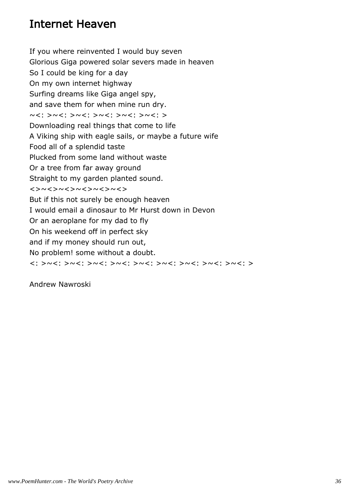## Internet Heaven

If you where reinvented I would buy seven Glorious Giga powered solar severs made in heaven So I could be king for a day On my own internet highway Surfing dreams like Giga angel spy, and save them for when mine run dry. ~<: >~<: >~<: >~<: >~<: > Downloading real things that come to life A Viking ship with eagle sails, or maybe a future wife Food all of a splendid taste Plucked from some land without waste Or a tree from far away ground Straight to my garden planted sound. <>~<>~<>~<>~<>~<> But if this not surely be enough heaven I would email a dinosaur to Mr Hurst down in Devon Or an aeroplane for my dad to fly On his weekend off in perfect sky and if my money should run out, No problem! some without a doubt. <: >~<: >~<: >~<: >~<: >~<: >~<: >~<: >~<: >~<: >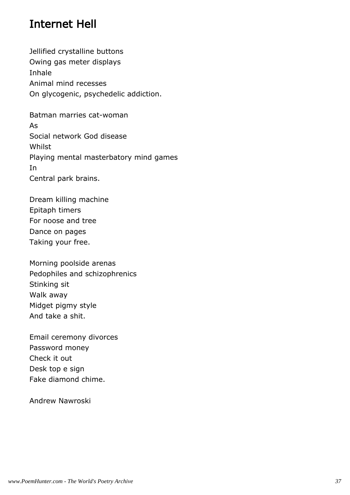## Internet Hell

Jellified crystalline buttons Owing gas meter displays Inhale Animal mind recesses On glycogenic, psychedelic addiction.

Batman marries cat-woman As Social network God disease **Whilst** Playing mental masterbatory mind games In Central park brains.

Dream killing machine Epitaph timers For noose and tree Dance on pages Taking your free.

Morning poolside arenas Pedophiles and schizophrenics Stinking sit Walk away Midget pigmy style And take a shit.

Email ceremony divorces Password money Check it out Desk top e sign Fake diamond chime.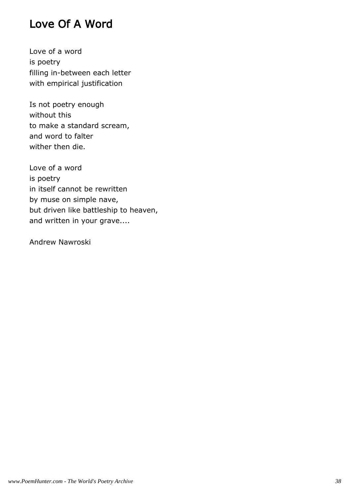## Love Of A Word

Love of a word is poetry filling in-between each letter with empirical justification

Is not poetry enough without this to make a standard scream, and word to falter wither then die.

Love of a word is poetry in itself cannot be rewritten by muse on simple nave, but driven like battleship to heaven, and written in your grave....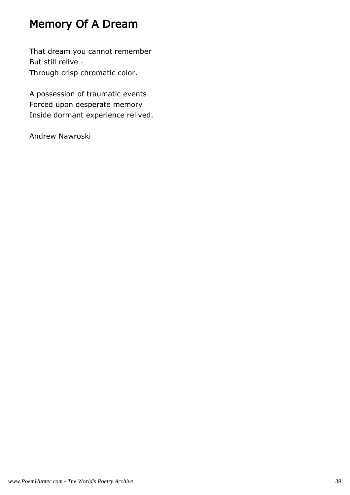# Memory Of A Dream

That dream you cannot remember But still relive - Through crisp chromatic color.

A possession of traumatic events Forced upon desperate memory Inside dormant experience relived.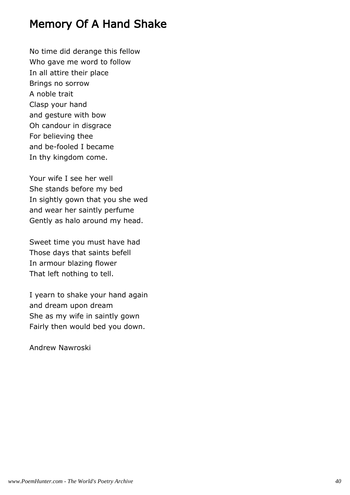## Memory Of A Hand Shake

No time did derange this fellow Who gave me word to follow In all attire their place Brings no sorrow A noble trait Clasp your hand and gesture with bow Oh candour in disgrace For believing thee and be-fooled I became In thy kingdom come.

Your wife I see her well She stands before my bed In sightly gown that you she wed and wear her saintly perfume Gently as halo around my head.

Sweet time you must have had Those days that saints befell In armour blazing flower That left nothing to tell.

I yearn to shake your hand again and dream upon dream She as my wife in saintly gown Fairly then would bed you down.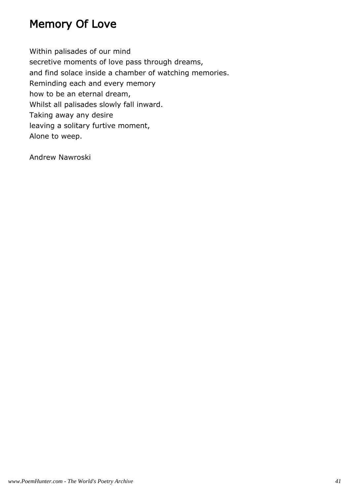## Memory Of Love

Within palisades of our mind secretive moments of love pass through dreams, and find solace inside a chamber of watching memories. Reminding each and every memory how to be an eternal dream, Whilst all palisades slowly fall inward. Taking away any desire leaving a solitary furtive moment, Alone to weep.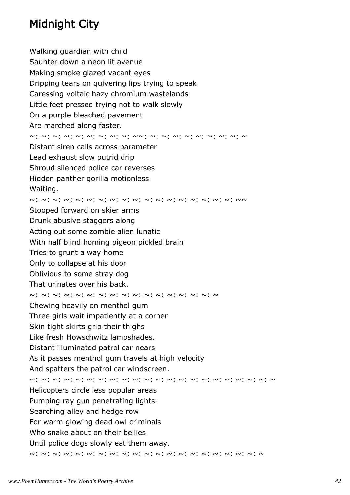# Midnight City

Walking guardian with child Saunter down a neon lit avenue Making smoke glazed vacant eyes Dripping tears on quivering lips trying to speak Caressing voltaic hazy chromium wastelands Little feet pressed trying not to walk slowly On a purple bleached pavement Are marched along faster. ~: ~: ~: ~: ~: ~: ~: ~: ~: ~~: ~: ~: ~: ~: ~: ~: ~: ~: ~ Distant siren calls across parameter Lead exhaust slow putrid drip Shroud silenced police car reverses Hidden panther gorilla motionless Waiting. ~: ~: ~: ~: ~: ~: ~: ~: ~: ~: ~: ~: ~: ~: ~: ~: ~: ~: ~~ Stooped forward on skier arms Drunk abusive staggers along Acting out some zombie alien lunatic With half blind homing pigeon pickled brain Tries to grunt a way home Only to collapse at his door Oblivious to some stray dog That urinates over his back. ~: ~: ~: ~: ~: ~: ~: ~: ~: ~: ~: ~: ~: ~: ~: ~: ~ Chewing heavily on menthol gum Three girls wait impatiently at a corner Skin tight skirts grip their thighs Like fresh Howschwitz lampshades. Distant illuminated patrol car nears As it passes menthol gum travels at high velocity And spatters the patrol car windscreen. ~: ~: ~: ~: ~: ~: ~: ~: ~: ~: ~: ~: ~: ~: ~: ~: ~: ~: ~: ~: ~: ~ Helicopters circle less popular areas Pumping ray gun penetrating lights-Searching alley and hedge row For warm glowing dead owl criminals Who snake about on their bellies Until police dogs slowly eat them away. ~: ~: ~: ~: ~: ~: ~: ~: ~: ~: ~: ~: ~: ~: ~: ~: ~: ~: ~: ~: ~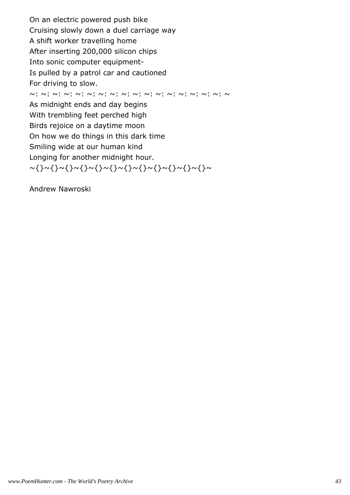On an electric powered push bike Cruising slowly down a duel carriage way A shift worker travelling home After inserting 200,000 silicon chips Into sonic computer equipment-Is pulled by a patrol car and cautioned For driving to slow. ~: ~: ~: ~: ~: ~: ~: ~: ~: ~: ~: ~: ~: ~: ~: ~: ~: ~ As midnight ends and day begins With trembling feet perched high Birds rejoice on a daytime moon On how we do things in this dark time Smiling wide at our human kind Longing for another midnight hour. ~{}~{}~{}~{}~{}~{}~{}~{}~{}~{}~{}~{}~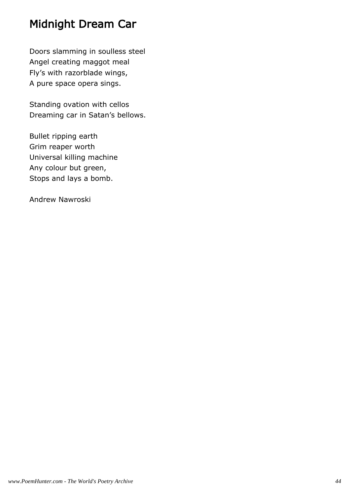## Midnight Dream Car

Doors slamming in soulless steel Angel creating maggot meal Fly's with razorblade wings, A pure space opera sings.

Standing ovation with cellos Dreaming car in Satan's bellows.

Bullet ripping earth Grim reaper worth Universal killing machine Any colour but green, Stops and lays a bomb.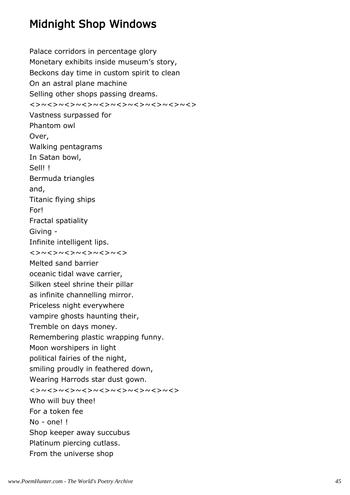## Midnight Shop Windows

Palace corridors in percentage glory Monetary exhibits inside museum's story, Beckons day time in custom spirit to clean On an astral plane machine Selling other shops passing dreams. <>~<>~<>~<>~<>~<>~<>~<>~<>~<> Vastness surpassed for Phantom owl Over, Walking pentagrams In Satan bowl, Sell! ! Bermuda triangles and, Titanic flying ships For! Fractal spatiality Giving - Infinite intelligent lips. <>~<>~<>~<>~<>~<> Melted sand barrier oceanic tidal wave carrier, Silken steel shrine their pillar as infinite channelling mirror. Priceless night everywhere vampire ghosts haunting their, Tremble on days money. Remembering plastic wrapping funny. Moon worshipers in light political fairies of the night, smiling proudly in feathered down, Wearing Harrods star dust gown. <>~<>~<>~<>~<>~<>~<>~<>~<> Who will buy thee! For a token fee No - one! ! Shop keeper away succubus Platinum piercing cutlass. From the universe shop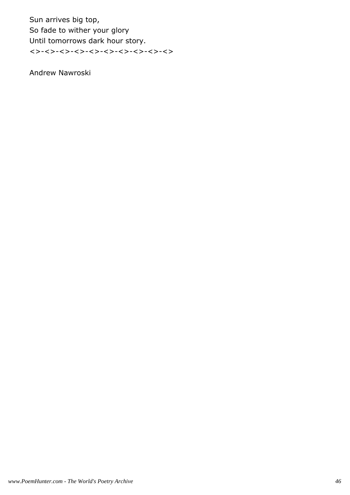Sun arrives big top, So fade to wither your glory Until tomorrows dark hour story. <>-<>-<>-<>-<>-<>-<>-<>-<>-<>-<<>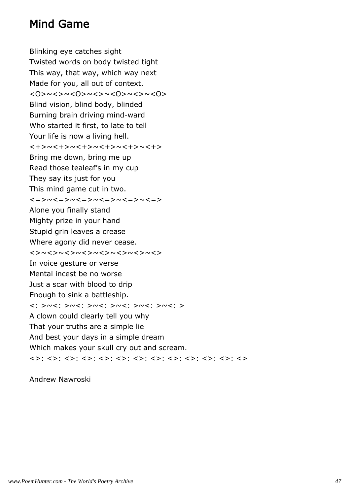## Mind Game

Blinking eye catches sight Twisted words on body twisted tight This way, that way, which way next Made for you, all out of context. <0> <<><<<<<<<<>> Blind vision, blind body, blinded Burning brain driving mind-ward Who started it first, to late to tell Your life is now a living hell. <+>~<+>~<+>~<+>~<+>~<+> Bring me down, bring me up Read those tealeaf's in my cup They say its just for you This mind game cut in two. <=>~<=>~<=>~<=>~<=>~<=> Alone you finally stand Mighty prize in your hand Stupid grin leaves a crease Where agony did never cease. <>~<>~<>~<>~<>~<>~<>~<> In voice gesture or verse Mental incest be no worse Just a scar with blood to drip Enough to sink a battleship. <: >~<: >~<: >~<: >~<: >~<: >~<: > A clown could clearly tell you why That your truths are a simple lie And best your days in a simple dream Which makes your skull cry out and scream. <>: <>: <>: <>: <>: <>: <>: <>: <>: <>: <>: <>: <>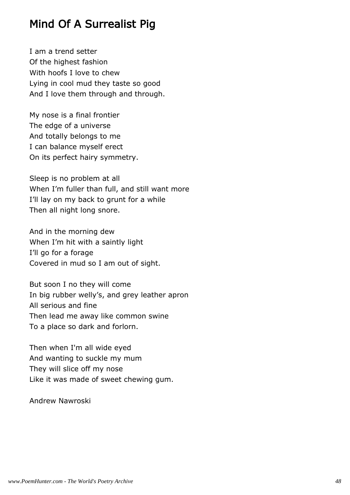## Mind Of A Surrealist Pig

I am a trend setter Of the highest fashion With hoofs I love to chew Lying in cool mud they taste so good And I love them through and through.

My nose is a final frontier The edge of a universe And totally belongs to me I can balance myself erect On its perfect hairy symmetry.

Sleep is no problem at all When I'm fuller than full, and still want more I'll lay on my back to grunt for a while Then all night long snore.

And in the morning dew When I'm hit with a saintly light I'll go for a forage Covered in mud so I am out of sight.

But soon I no they will come In big rubber welly's, and grey leather apron All serious and fine Then lead me away like common swine To a place so dark and forlorn.

Then when I'm all wide eyed And wanting to suckle my mum They will slice off my nose Like it was made of sweet chewing gum.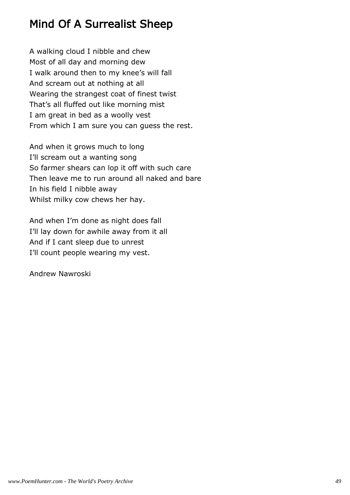# Mind Of A Surrealist Sheep

A walking cloud I nibble and chew Most of all day and morning dew I walk around then to my knee's will fall And scream out at nothing at all Wearing the strangest coat of finest twist That's all fluffed out like morning mist I am great in bed as a woolly vest From which I am sure you can guess the rest.

And when it grows much to long I'll scream out a wanting song So farmer shears can lop it off with such care Then leave me to run around all naked and bare In his field I nibble away Whilst milky cow chews her hay.

And when I'm done as night does fall I'll lay down for awhile away from it all And if I cant sleep due to unrest I'll count people wearing my vest.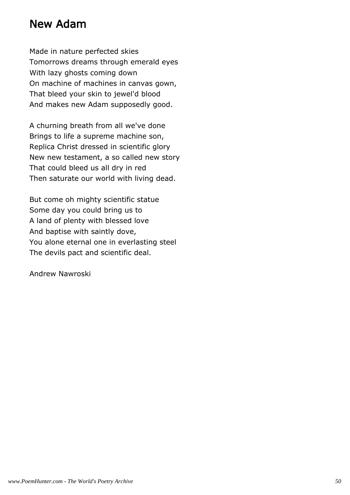#### New Adam

Made in nature perfected skies Tomorrows dreams through emerald eyes With lazy ghosts coming down On machine of machines in canvas gown, That bleed your skin to jewel'd blood And makes new Adam supposedly good.

A churning breath from all we've done Brings to life a supreme machine son, Replica Christ dressed in scientific glory New new testament, a so called new story That could bleed us all dry in red Then saturate our world with living dead.

But come oh mighty scientific statue Some day you could bring us to A land of plenty with blessed love And baptise with saintly dove, You alone eternal one in everlasting steel The devils pact and scientific deal.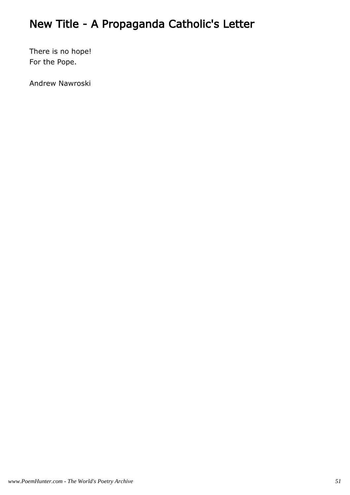# New Title - A Propaganda Catholic's Letter

There is no hope! For the Pope.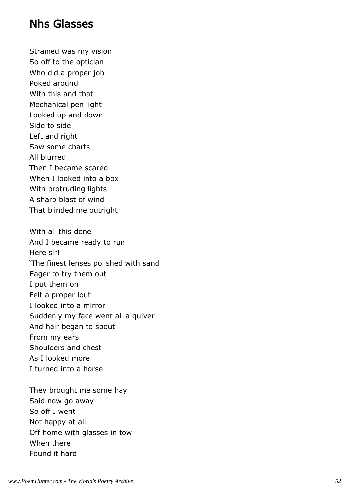#### Nhs Glasses

Strained was my vision So off to the optician Who did a proper job Poked around With this and that Mechanical pen light Looked up and down Side to side Left and right Saw some charts All blurred Then I became scared When I looked into a box With protruding lights A sharp blast of wind That blinded me outright With all this done And I became ready to run Here sir! 'The finest lenses polished with sand Eager to try them out I put them on Felt a proper lout I looked into a mirror Suddenly my face went all a quiver And hair began to spout From my ears Shoulders and chest As I looked more I turned into a horse

They brought me some hay Said now go away So off I went Not happy at all Off home with glasses in tow When there Found it hard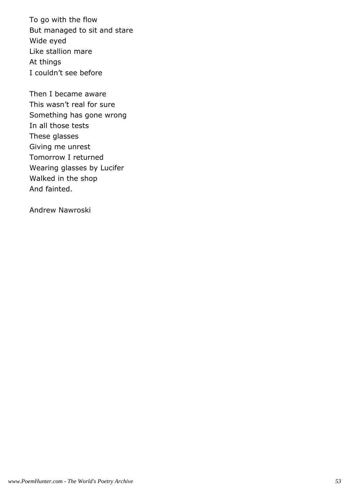To go with the flow But managed to sit and stare Wide eyed Like stallion mare At things I couldn't see before

Then I became aware This wasn't real for sure Something has gone wrong In all those tests These glasses Giving me unrest Tomorrow I returned Wearing glasses by Lucifer Walked in the shop And fainted.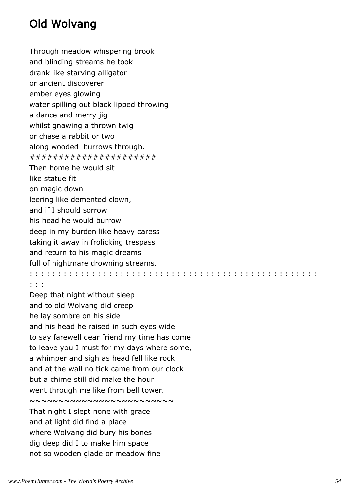# Old Wolvang

Through meadow whispering brook and blinding streams he took drank like starving alligator or ancient discoverer ember eyes glowing water spilling out black lipped throwing a dance and merry jig whilst gnawing a thrown twig or chase a rabbit or two along wooded burrows through. ###################### Then home he would sit like statue fit on magic down leering like demented clown, and if I should sorrow his head he would burrow deep in my burden like heavy caress taking it away in frolicking trespass and return to his magic dreams full of nightmare drowning streams. : : : : : : : : : : : : : : : : : : : : : : : : : : : : : : : : : : : : : : : : : : : : : : : : : : :

#### : : :

Deep that night without sleep and to old Wolvang did creep he lay sombre on his side and his head he raised in such eyes wide to say farewell dear friend my time has come to leave you I must for my days where some, a whimper and sigh as head fell like rock and at the wall no tick came from our clock but a chime still did make the hour went through me like from bell tower. ~~~~~~~~~~~~~~~~~~~~~~~~~ That night I slept none with grace and at light did find a place where Wolvang did bury his bones dig deep did I to make him space not so wooden glade or meadow fine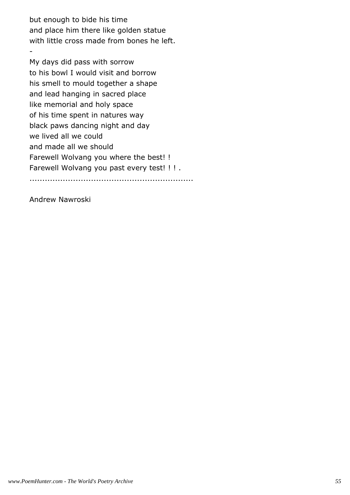but enough to bide his time and place him there like golden statue with little cross made from bones he left.

My days did pass with sorrow to his bowl I would visit and borrow his smell to mould together a shape and lead hanging in sacred place like memorial and holy space of his time spent in natures way black paws dancing night and day we lived all we could and made all we should Farewell Wolvang you where the best! ! Farewell Wolvang you past every test! ! ! . ................................................................

Andrew Nawroski

-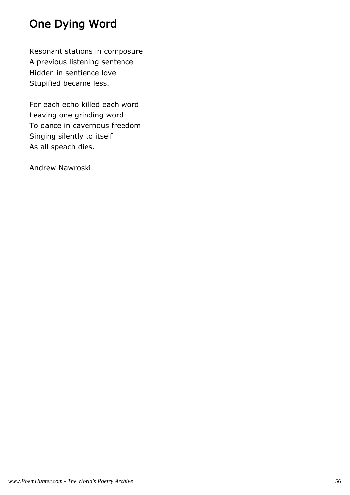# One Dying Word

Resonant stations in composure A previous listening sentence Hidden in sentience love Stupified became less.

For each echo killed each word Leaving one grinding word To dance in cavernous freedom Singing silently to itself As all speach dies.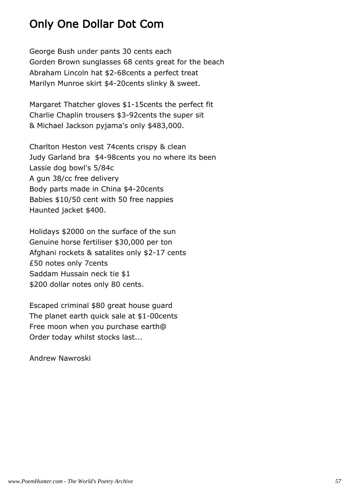## Only One Dollar Dot Com

George Bush under pants 30 cents each Gorden Brown sunglasses 68 cents great for the beach Abraham Lincoln hat \$2-68cents a perfect treat Marilyn Munroe skirt \$4-20cents slinky & sweet.

Margaret Thatcher gloves \$1-15cents the perfect fit Charlie Chaplin trousers \$3-92cents the super sit & Michael Jackson pyjama's only \$483,000.

Charlton Heston vest 74cents crispy & clean Judy Garland bra \$4-98cents you no where its been Lassie dog bowl's 5/84c A gun 38/cc free delivery Body parts made in China \$4-20cents Babies \$10/50 cent with 50 free nappies Haunted jacket \$400.

Holidays \$2000 on the surface of the sun Genuine horse fertiliser \$30,000 per ton Afghani rockets & satalites only \$2-17 cents £50 notes only 7cents Saddam Hussain neck tie \$1 \$200 dollar notes only 80 cents.

Escaped criminal \$80 great house guard The planet earth quick sale at \$1-00cents Free moon when you purchase earth@ Order today whilst stocks last...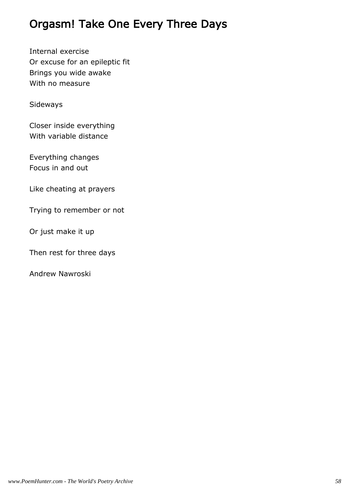## Orgasm! Take One Every Three Days

Internal exercise Or excuse for an epileptic fit Brings you wide awake With no measure

Sideways

Closer inside everything With variable distance

Everything changes Focus in and out

Like cheating at prayers

Trying to remember or not

Or just make it up

Then rest for three days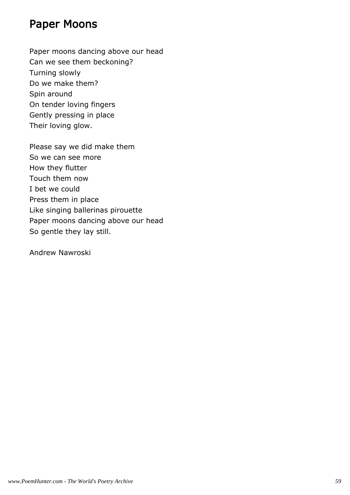#### Paper Moons

Paper moons dancing above our head Can we see them beckoning? Turning slowly Do we make them? Spin around On tender loving fingers Gently pressing in place Their loving glow.

Please say we did make them So we can see more How they flutter Touch them now I bet we could Press them in place Like singing ballerinas pirouette Paper moons dancing above our head So gentle they lay still.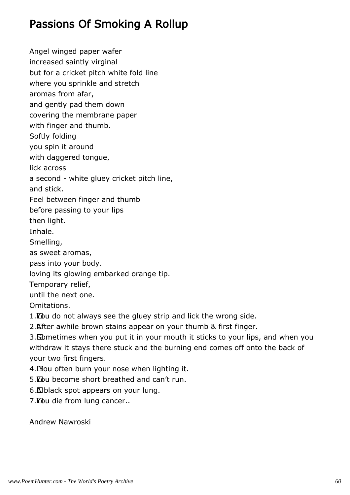## Passions Of Smoking A Rollup

Angel winged paper wafer increased saintly virginal but for a cricket pitch white fold line where you sprinkle and stretch aromas from afar, and gently pad them down covering the membrane paper with finger and thumb. Softly folding you spin it around with daggered tongue, lick across a second - white gluey cricket pitch line, and stick. Feel between finger and thumb before passing to your lips then light. Inhale. Smelling, as sweet aromas, pass into your body. loving its glowing embarked orange tip. Temporary relief, until the next one. Omitations. 1. You do not always see the gluey strip and lick the wrong side. 2. After awhile brown stains appear on your thumb & first finger. 3. Sometimes when you put it in your mouth it sticks to your lips, and when you withdraw it stays there stuck and the burning end comes off onto the back of

your two first fingers.

4. You often burn your nose when lighting it.

5. You become short breathed and can't run.

6.A black spot appears on your lung.

7. You die from lung cancer..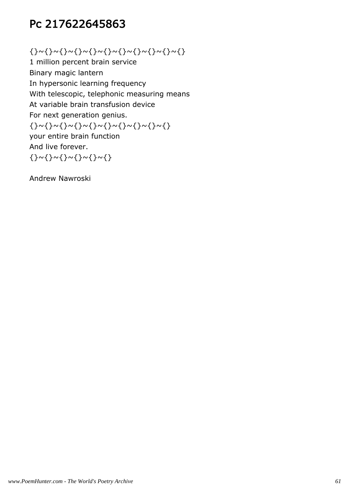# Pc 217622645863

{}~{}~{}~{}~{}~{}~{}~{}~{}~{}~{}

1 million percent brain service Binary magic lantern In hypersonic learning frequency With telescopic, telephonic measuring means At variable brain transfusion device For next generation genius. {}~{}~{}~{}~{}~{}~{}~{}~{}~{} your entire brain function And live forever. {}~{}~{}~{}~{}~{}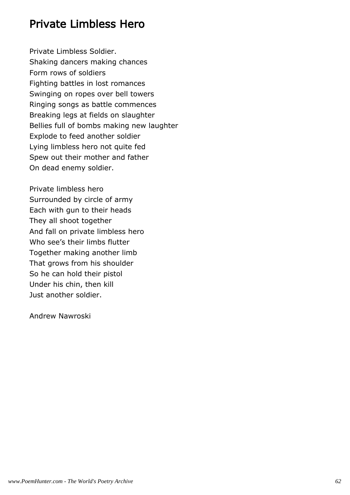#### Private Limbless Hero

Private Limbless Soldier. Shaking dancers making chances Form rows of soldiers Fighting battles in lost romances Swinging on ropes over bell towers Ringing songs as battle commences Breaking legs at fields on slaughter Bellies full of bombs making new laughter Explode to feed another soldier Lying limbless hero not quite fed Spew out their mother and father On dead enemy soldier.

Private limbless hero Surrounded by circle of army Each with gun to their heads They all shoot together And fall on private limbless hero Who see's their limbs flutter Together making another limb That grows from his shoulder So he can hold their pistol Under his chin, then kill Just another soldier.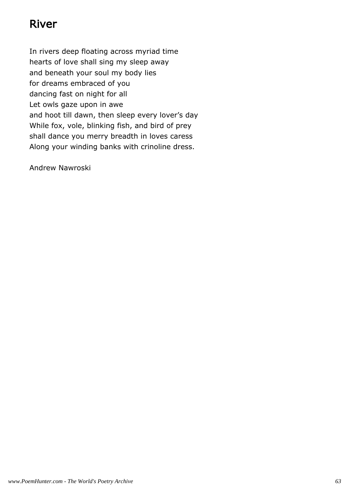## River

In rivers deep floating across myriad time hearts of love shall sing my sleep away and beneath your soul my body lies for dreams embraced of you dancing fast on night for all Let owls gaze upon in awe and hoot till dawn, then sleep every lover's day While fox, vole, blinking fish, and bird of prey shall dance you merry breadth in loves caress Along your winding banks with crinoline dress.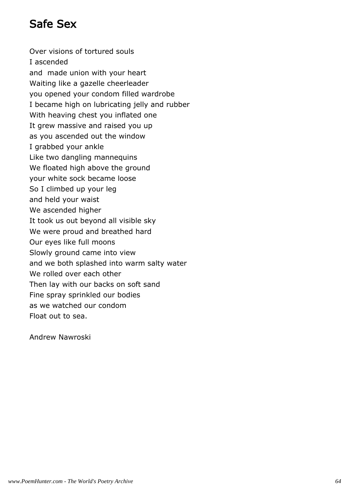# Safe Sex

Over visions of tortured souls I ascended and made union with your heart Waiting like a gazelle cheerleader you opened your condom filled wardrobe I became high on lubricating jelly and rubber With heaving chest you inflated one It grew massive and raised you up as you ascended out the window I grabbed your ankle Like two dangling mannequins We floated high above the ground your white sock became loose So I climbed up your leg and held your waist We ascended higher It took us out beyond all visible sky We were proud and breathed hard Our eyes like full moons Slowly ground came into view and we both splashed into warm salty water We rolled over each other Then lay with our backs on soft sand Fine spray sprinkled our bodies as we watched our condom Float out to sea.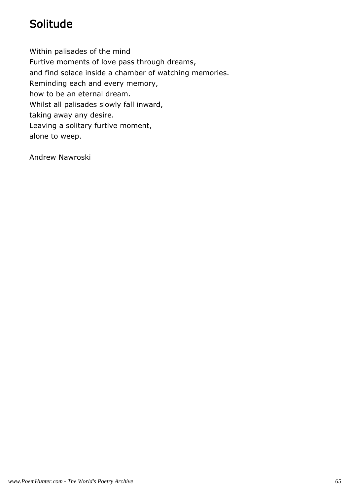# Solitude

Within palisades of the mind Furtive moments of love pass through dreams, and find solace inside a chamber of watching memories. Reminding each and every memory, how to be an eternal dream. Whilst all palisades slowly fall inward, taking away any desire. Leaving a solitary furtive moment, alone to weep.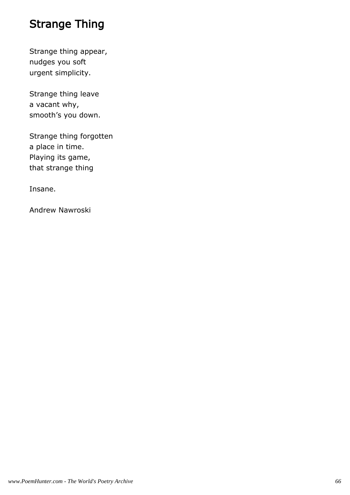# Strange Thing

Strange thing appear, nudges you soft urgent simplicity.

Strange thing leave a vacant why, smooth's you down.

Strange thing forgotten a place in time. Playing its game, that strange thing

Insane.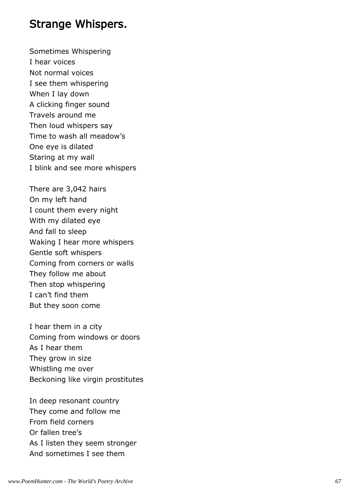#### Strange Whispers.

Sometimes Whispering I hear voices Not normal voices I see them whispering When I lay down A clicking finger sound Travels around me Then loud whispers say Time to wash all meadow's One eye is dilated Staring at my wall I blink and see more whispers

There are 3,042 hairs On my left hand I count them every night With my dilated eye And fall to sleep Waking I hear more whispers Gentle soft whispers Coming from corners or walls They follow me about Then stop whispering I can't find them But they soon come

I hear them in a city Coming from windows or doors As I hear them They grow in size Whistling me over Beckoning like virgin prostitutes

In deep resonant country They come and follow me From field corners Or fallen tree's As I listen they seem stronger And sometimes I see them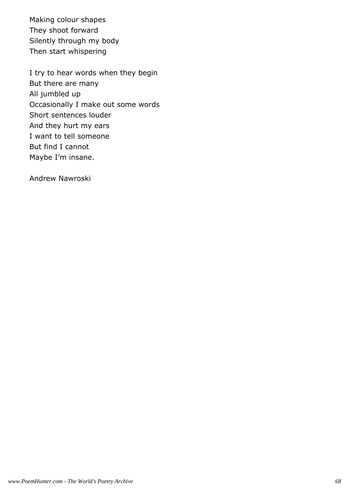Making colour shapes They shoot forward Silently through my body Then start whispering

I try to hear words when they begin But there are many All jumbled up Occasionally I make out some words Short sentences louder And they hurt my ears I want to tell someone But find I cannot Maybe I'm insane.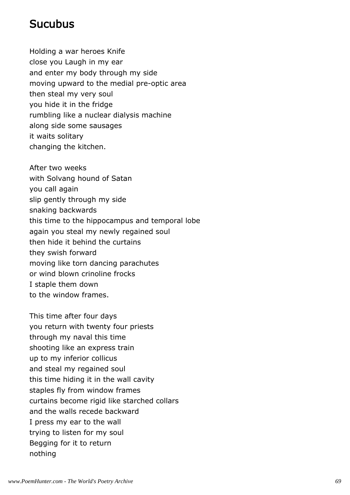#### **Sucubus**

Holding a war heroes Knife close you Laugh in my ear and enter my body through my side moving upward to the medial pre-optic area then steal my very soul you hide it in the fridge rumbling like a nuclear dialysis machine along side some sausages it waits solitary changing the kitchen.

After two weeks with Solvang hound of Satan you call again slip gently through my side snaking backwards this time to the hippocampus and temporal lobe again you steal my newly regained soul then hide it behind the curtains they swish forward moving like torn dancing parachutes or wind blown crinoline frocks I staple them down to the window frames.

This time after four days you return with twenty four priests through my naval this time shooting like an express train up to my inferior collicus and steal my regained soul this time hiding it in the wall cavity staples fly from window frames curtains become rigid like starched collars and the walls recede backward I press my ear to the wall trying to listen for my soul Begging for it to return nothing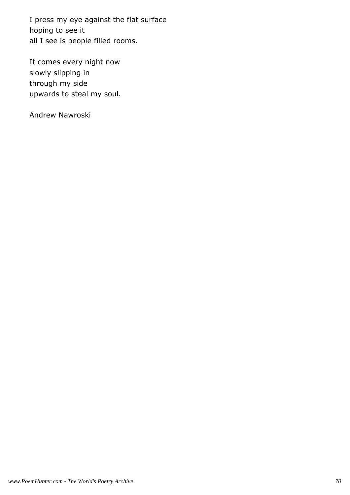I press my eye against the flat surface hoping to see it all I see is people filled rooms.

It comes every night now slowly slipping in through my side upwards to steal my soul.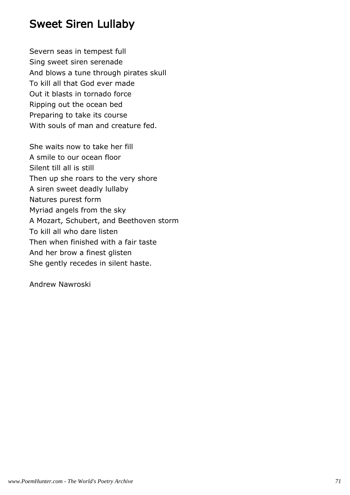## Sweet Siren Lullaby

Severn seas in tempest full Sing sweet siren serenade And blows a tune through pirates skull To kill all that God ever made Out it blasts in tornado force Ripping out the ocean bed Preparing to take its course With souls of man and creature fed.

She waits now to take her fill A smile to our ocean floor Silent till all is still Then up she roars to the very shore A siren sweet deadly lullaby Natures purest form Myriad angels from the sky A Mozart, Schubert, and Beethoven storm To kill all who dare listen Then when finished with a fair taste And her brow a finest glisten She gently recedes in silent haste.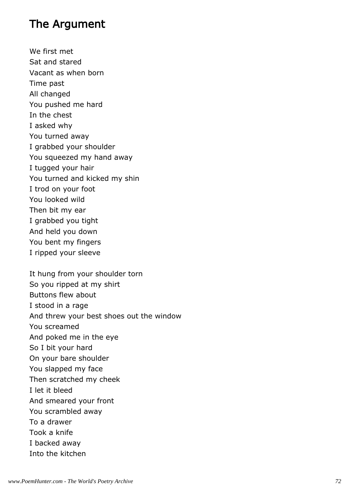### The Argument

We first met Sat and stared Vacant as when born Time past All changed You pushed me hard In the chest I asked why You turned away I grabbed your shoulder You squeezed my hand away I tugged your hair You turned and kicked my shin I trod on your foot You looked wild Then bit my ear I grabbed you tight And held you down You bent my fingers I ripped your sleeve

It hung from your shoulder torn So you ripped at my shirt Buttons flew about I stood in a rage And threw your best shoes out the window You screamed And poked me in the eye So I bit your hard On your bare shoulder You slapped my face Then scratched my cheek I let it bleed And smeared your front You scrambled away To a drawer Took a knife I backed away Into the kitchen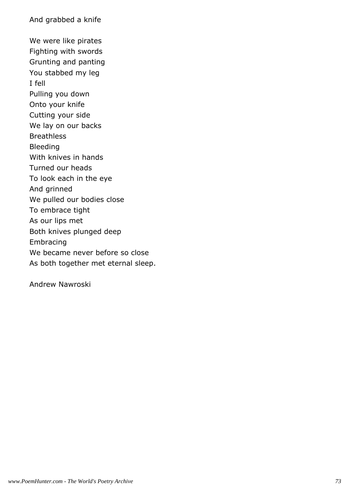And grabbed a knife

We were like pirates Fighting with swords Grunting and panting You stabbed my leg I fell Pulling you down Onto your knife Cutting your side We lay on our backs Breathless Bleeding With knives in hands Turned our heads To look each in the eye And grinned We pulled our bodies close To embrace tight As our lips met Both knives plunged deep Embracing We became never before so close As both together met eternal sleep.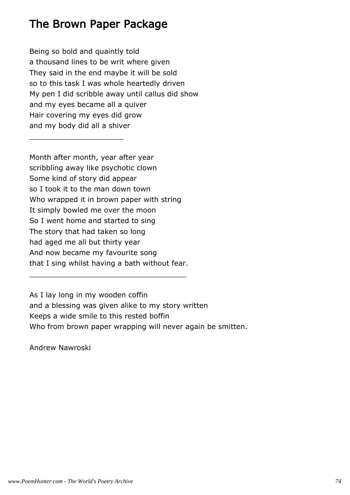### The Brown Paper Package

\_\_\_\_\_\_\_\_\_\_\_\_\_\_\_\_\_\_\_\_\_

Being so bold and quaintly told a thousand lines to be writ where given They said in the end maybe it will be sold so to this task I was whole heartedly driven My pen I did scribble away until callus did show and my eyes became all a quiver Hair covering my eyes did grow and my body did all a shiver

Month after month, year after year scribbling away like psychotic clown Some kind of story did appear so I took it to the man down town Who wrapped it in brown paper with string It simply bowled me over the moon So I went home and started to sing The story that had taken so long had aged me all but thirty year And now became my favourite song that I sing whilst having a bath without fear.

\_\_\_\_\_\_\_\_\_\_\_\_\_\_\_\_\_\_\_\_\_\_\_\_\_\_\_\_\_\_\_\_\_\_\_

As I lay long in my wooden coffin and a blessing was given alike to my story written Keeps a wide smile to this rested boffin Who from brown paper wrapping will never again be smitten.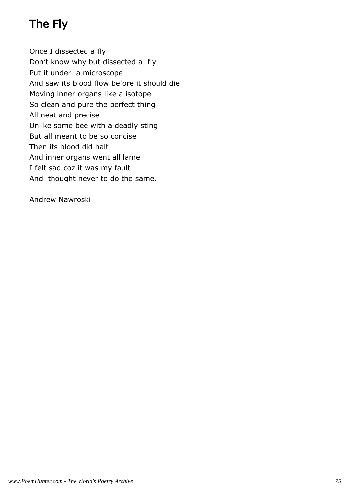# The Fly

Once I dissected a fly Don't know why but dissected a fly Put it under a microscope And saw its blood flow before it should die Moving inner organs like a isotope So clean and pure the perfect thing All neat and precise Unlike some bee with a deadly sting But all meant to be so concise Then its blood did halt And inner organs went all lame I felt sad coz it was my fault And thought never to do the same.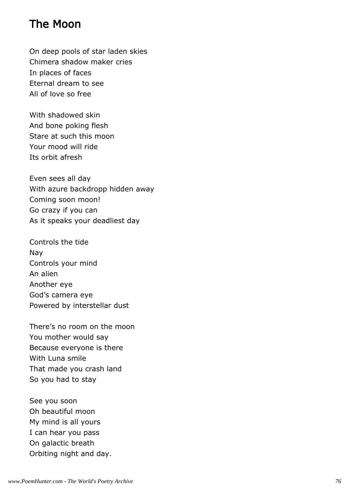### The Moon

On deep pools of star laden skies Chimera shadow maker cries In places of faces Eternal dream to see All of love so free

With shadowed skin And bone poking flesh Stare at such this moon Your mood will ride Its orbit afresh

Even sees all day With azure backdropp hidden away Coming soon moon! Go crazy if you can As it speaks your deadliest day

Controls the tide Nay Controls your mind An alien Another eye God's camera eye Powered by interstellar dust

There's no room on the moon You mother would say Because everyone is there With Luna smile That made you crash land So you had to stay

See you soon Oh beautiful moon My mind is all yours I can hear you pass On galactic breath Orbiting night and day.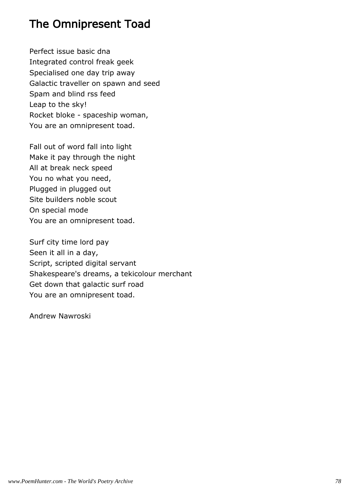### The Omnipresent Toad

Perfect issue basic dna Integrated control freak geek Specialised one day trip away Galactic traveller on spawn and seed Spam and blind rss feed Leap to the sky! Rocket bloke - spaceship woman, You are an omnipresent toad.

Fall out of word fall into light Make it pay through the night All at break neck speed You no what you need, Plugged in plugged out Site builders noble scout On special mode You are an omnipresent toad.

Surf city time lord pay Seen it all in a day, Script, scripted digital servant Shakespeare's dreams, a tekicolour merchant Get down that galactic surf road You are an omnipresent toad.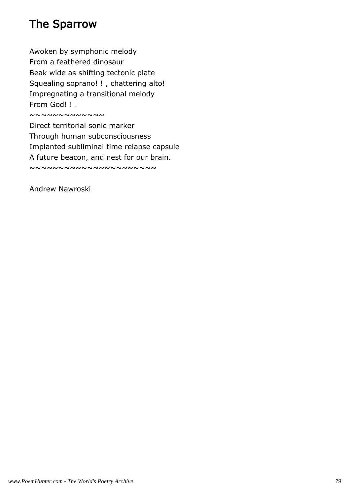# The Sparrow

Awoken by symphonic melody From a feathered dinosaur Beak wide as shifting tectonic plate Squealing soprano! ! , chattering alto! Impregnating a transitional melody From God! ! .

~~~~~~~~~~~~

Direct territorial sonic marker Through human subconsciousness Implanted subliminal time relapse capsule A future beacon, and nest for our brain.

~~~~~~~~~~~~~~~~~~~~~~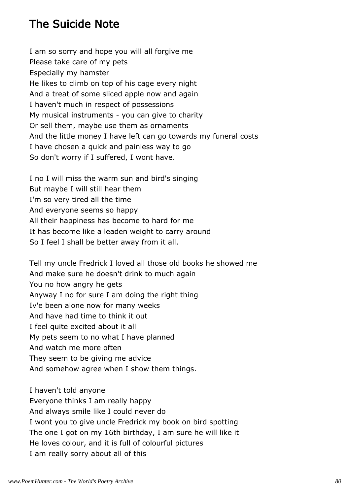### The Suicide Note

I am so sorry and hope you will all forgive me Please take care of my pets Especially my hamster He likes to climb on top of his cage every night And a treat of some sliced apple now and again I haven't much in respect of possessions My musical instruments - you can give to charity Or sell them, maybe use them as ornaments And the little money I have left can go towards my funeral costs I have chosen a quick and painless way to go So don't worry if I suffered, I wont have.

I no I will miss the warm sun and bird's singing But maybe I will still hear them I'm so very tired all the time And everyone seems so happy All their happiness has become to hard for me It has become like a leaden weight to carry around So I feel I shall be better away from it all.

Tell my uncle Fredrick I loved all those old books he showed me And make sure he doesn't drink to much again You no how angry he gets Anyway I no for sure I am doing the right thing Iv'e been alone now for many weeks And have had time to think it out I feel quite excited about it all My pets seem to no what I have planned And watch me more often They seem to be giving me advice And somehow agree when I show them things.

I haven't told anyone Everyone thinks I am really happy And always smile like I could never do I wont you to give uncle Fredrick my book on bird spotting The one I got on my 16th birthday, I am sure he will like it He loves colour, and it is full of colourful pictures I am really sorry about all of this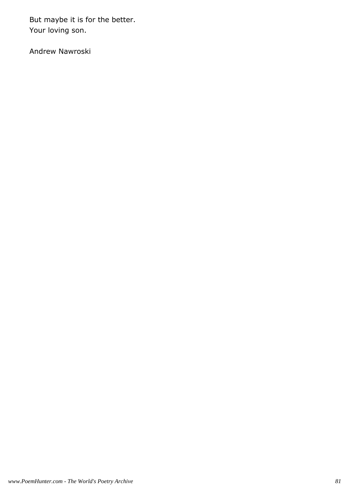But maybe it is for the better. Your loving son.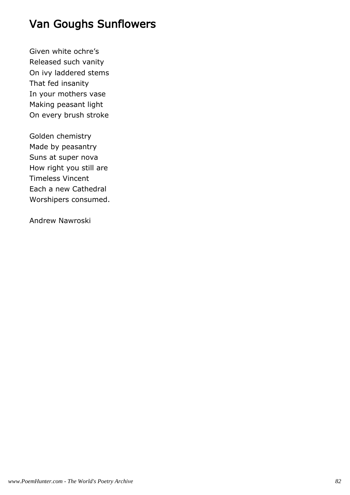# Van Goughs Sunflowers

Given white ochre's Released such vanity On ivy laddered stems That fed insanity In your mothers vase Making peasant light On every brush stroke

Golden chemistry Made by peasantry Suns at super nova How right you still are Timeless Vincent Each a new Cathedral Worshipers consumed.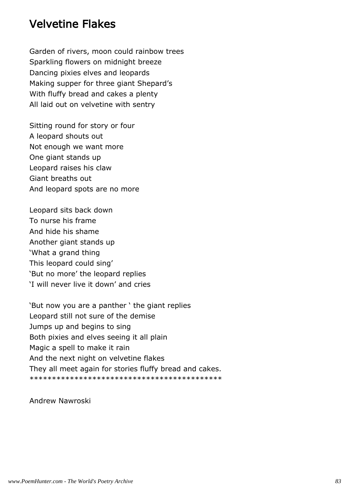#### Velvetine Flakes

Garden of rivers, moon could rainbow trees Sparkling flowers on midnight breeze Dancing pixies elves and leopards Making supper for three giant Shepard's With fluffy bread and cakes a plenty All laid out on velvetine with sentry

Sitting round for story or four A leopard shouts out Not enough we want more One giant stands up Leopard raises his claw Giant breaths out And leopard spots are no more

Leopard sits back down To nurse his frame And hide his shame Another giant stands up 'What a grand thing This leopard could sing' 'But no more' the leopard replies 'I will never live it down' and cries

'But now you are a panther ' the giant replies Leopard still not sure of the demise Jumps up and begins to sing Both pixies and elves seeing it all plain Magic a spell to make it rain And the next night on velvetine flakes They all meet again for stories fluffy bread and cakes. \*\*\*\*\*\*\*\*\*\*\*\*\*\*\*\*\*\*\*\*\*\*\*\*\*\*\*\*\*\*\*\*\*\*\*\*\*\*\*\*\*\*\*